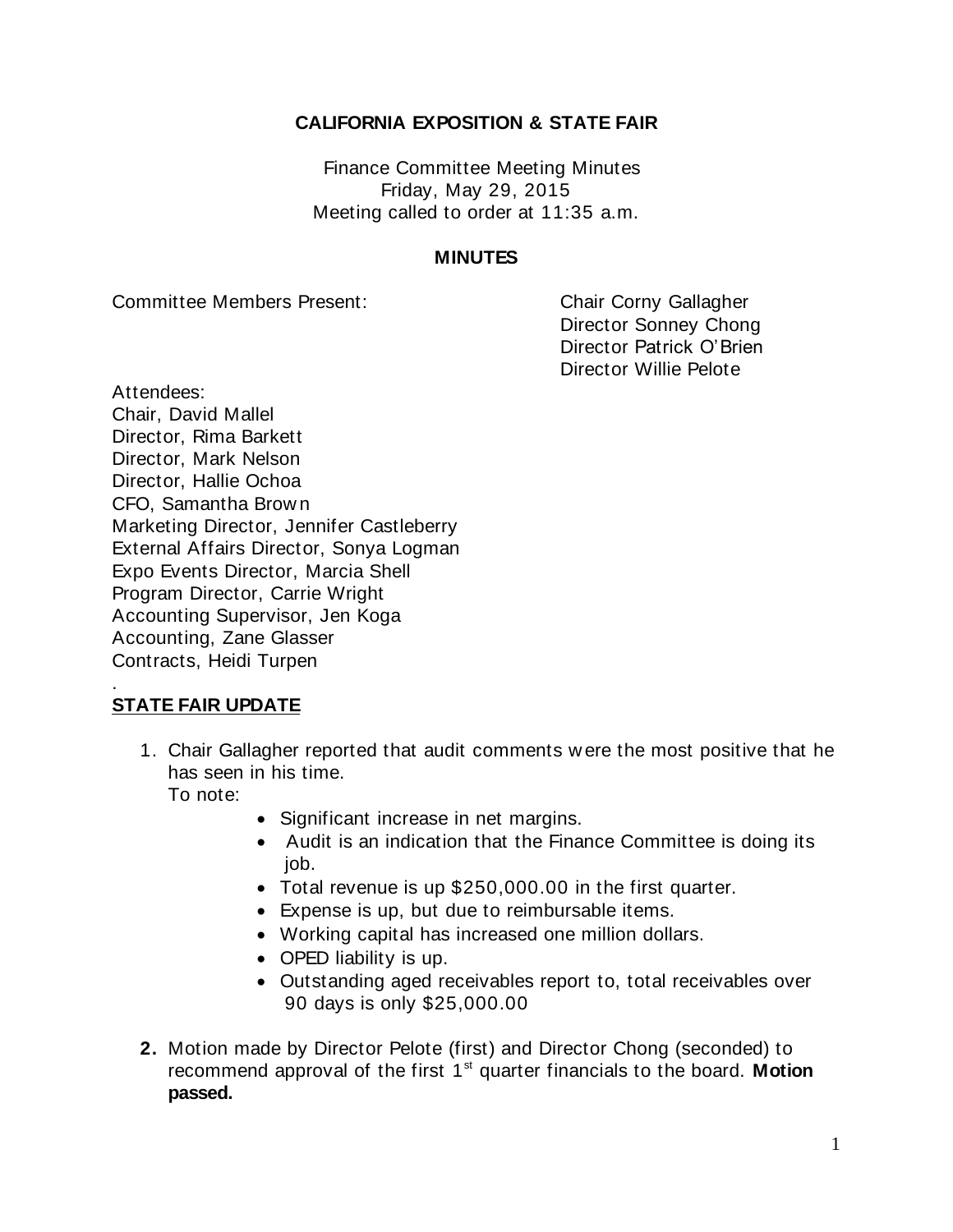## **CALIFORNIA EXPOSITION & STATE FAIR**

Finance Committee Meeting Minutes Friday, May 29, 2015 Meeting called to order at 11:35 a.m.

## **MINUTES**

Committee Members Present: Committee Members Present:

Director Sonney Chong Director Patrick O'Brien Director Willie Pelote

Attendees: Chair, David Mallel Director, Rima Barkett Director, Mark Nelson Director, Hallie Ochoa CFO, Samantha Brow n Marketing Director, Jennifer Castleberry External Affairs Director, Sonya Logman Expo Events Director, Marcia Shell Program Director, Carrie Wright Accounting Supervisor, Jen Koga Accounting, Zane Glasser Contracts, Heidi Turpen

## . **STATE FAIR UPDATE**

1. Chair Gallagher reported that audit comments w ere the most positive that he has seen in his time.

To note:

- Significant increase in net margins.
- Audit is an indication that the Finance Committee is doing its job.
- Total revenue is up \$250,000.00 in the first quarter.
- Expense is up, but due to reimbursable items.
- Working capital has increased one million dollars.
- OPED liability is up.
- Outstanding aged receivables report to, total receivables over 90 days is only \$25,000.00
- **2.** Motion made by Director Pelote (first) and Director Chong (seconded) to recommend approval of the first 1<sup>st</sup> quarter financials to the board. Motion **passed.**